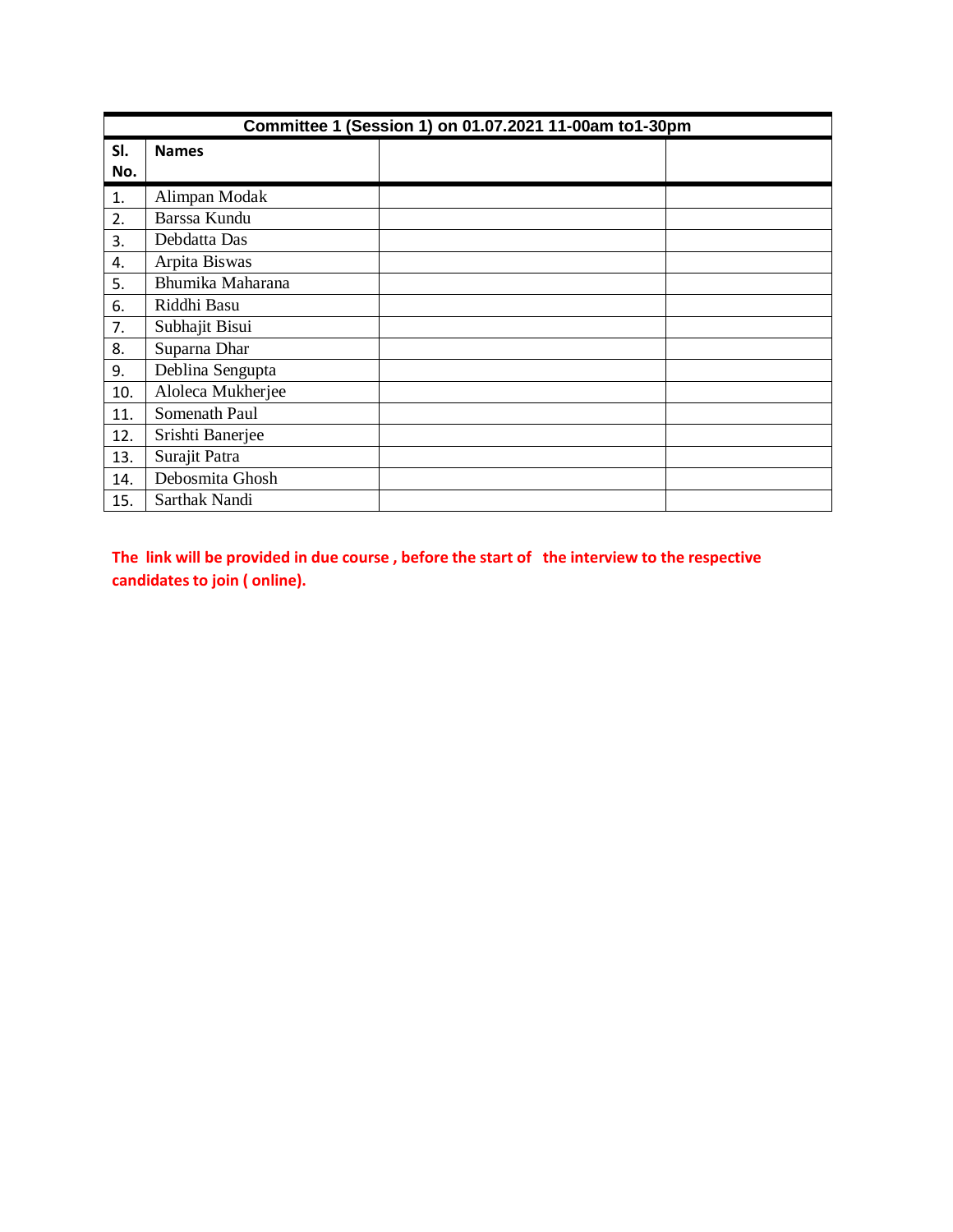| Committee 1 (Session 1) on 01.07.2021 11-00am to1-30pm |                   |  |  |  |  |
|--------------------------------------------------------|-------------------|--|--|--|--|
| SI.                                                    | <b>Names</b>      |  |  |  |  |
| No.                                                    |                   |  |  |  |  |
| 1.                                                     | Alimpan Modak     |  |  |  |  |
| 2.                                                     | Barssa Kundu      |  |  |  |  |
| 3.                                                     | Debdatta Das      |  |  |  |  |
| 4.                                                     | Arpita Biswas     |  |  |  |  |
| 5.                                                     | Bhumika Maharana  |  |  |  |  |
| 6.                                                     | Riddhi Basu       |  |  |  |  |
| 7.                                                     | Subhajit Bisui    |  |  |  |  |
| 8.                                                     | Suparna Dhar      |  |  |  |  |
| 9.                                                     | Deblina Sengupta  |  |  |  |  |
| 10.                                                    | Aloleca Mukherjee |  |  |  |  |
| 11.                                                    | Somenath Paul     |  |  |  |  |
| 12.                                                    | Srishti Banerjee  |  |  |  |  |
| 13.                                                    | Surajit Patra     |  |  |  |  |
| 14.                                                    | Debosmita Ghosh   |  |  |  |  |
| 15.                                                    | Sarthak Nandi     |  |  |  |  |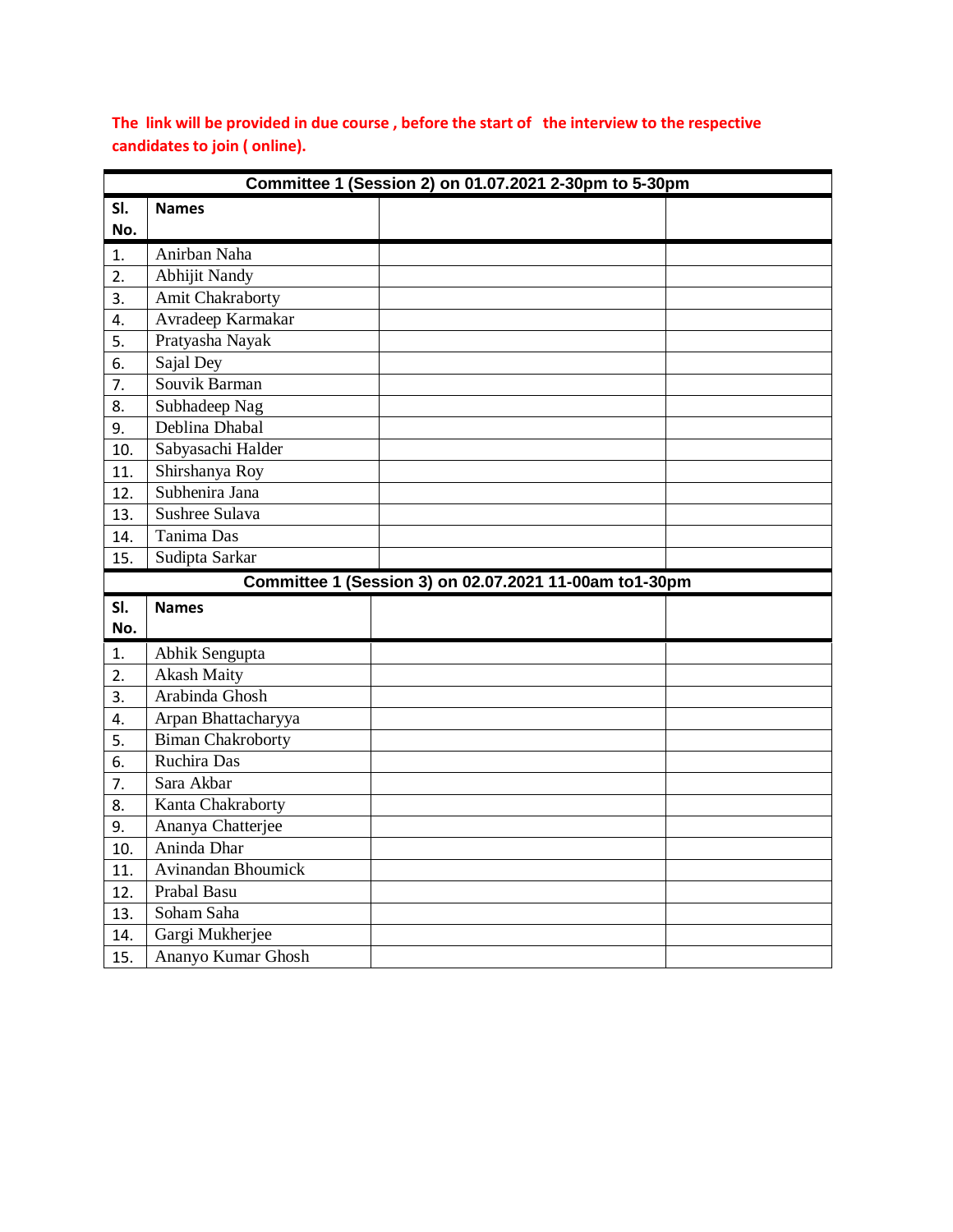| Committee 1 (Session 2) on 01.07.2021 2-30pm to 5-30pm |                          |  |  |  |  |
|--------------------------------------------------------|--------------------------|--|--|--|--|
| SI.                                                    | <b>Names</b>             |  |  |  |  |
| No.                                                    |                          |  |  |  |  |
| 1.                                                     | Anirban Naha             |  |  |  |  |
| 2.                                                     | <b>Abhijit Nandy</b>     |  |  |  |  |
| 3.                                                     | Amit Chakraborty         |  |  |  |  |
| 4.                                                     | Avradeep Karmakar        |  |  |  |  |
| 5.                                                     | Pratyasha Nayak          |  |  |  |  |
| 6.                                                     | Sajal Dey                |  |  |  |  |
| 7.                                                     | Souvik Barman            |  |  |  |  |
| 8.                                                     | Subhadeep Nag            |  |  |  |  |
| 9.                                                     | Deblina Dhabal           |  |  |  |  |
| 10.                                                    | Sabyasachi Halder        |  |  |  |  |
| 11.                                                    | Shirshanya Roy           |  |  |  |  |
| 12.                                                    | Subhenira Jana           |  |  |  |  |
| 13.                                                    | Sushree Sulava           |  |  |  |  |
| 14.                                                    | Tanima Das               |  |  |  |  |
| 15.                                                    | Sudipta Sarkar           |  |  |  |  |
| Committee 1 (Session 3) on 02.07.2021 11-00am to1-30pm |                          |  |  |  |  |
|                                                        |                          |  |  |  |  |
| SI.                                                    | <b>Names</b>             |  |  |  |  |
| No.                                                    |                          |  |  |  |  |
| 1.                                                     | Abhik Sengupta           |  |  |  |  |
| 2.                                                     | <b>Akash Maity</b>       |  |  |  |  |
| 3 <sub>1</sub>                                         | Arabinda Ghosh           |  |  |  |  |
| 4.                                                     | Arpan Bhattacharyya      |  |  |  |  |
| 5.                                                     | <b>Biman Chakroborty</b> |  |  |  |  |
| 6.                                                     | Ruchira Das              |  |  |  |  |
| 7.                                                     | Sara Akbar               |  |  |  |  |
| 8.                                                     | Kanta Chakraborty        |  |  |  |  |
| 9.                                                     | Ananya Chatterjee        |  |  |  |  |
| 10.                                                    | Aninda Dhar              |  |  |  |  |
| 11.                                                    | Avinandan Bhoumick       |  |  |  |  |
| 12.                                                    | Prabal Basu              |  |  |  |  |
| 13.                                                    | Soham Saha               |  |  |  |  |
| 14.                                                    | Gargi Mukherjee          |  |  |  |  |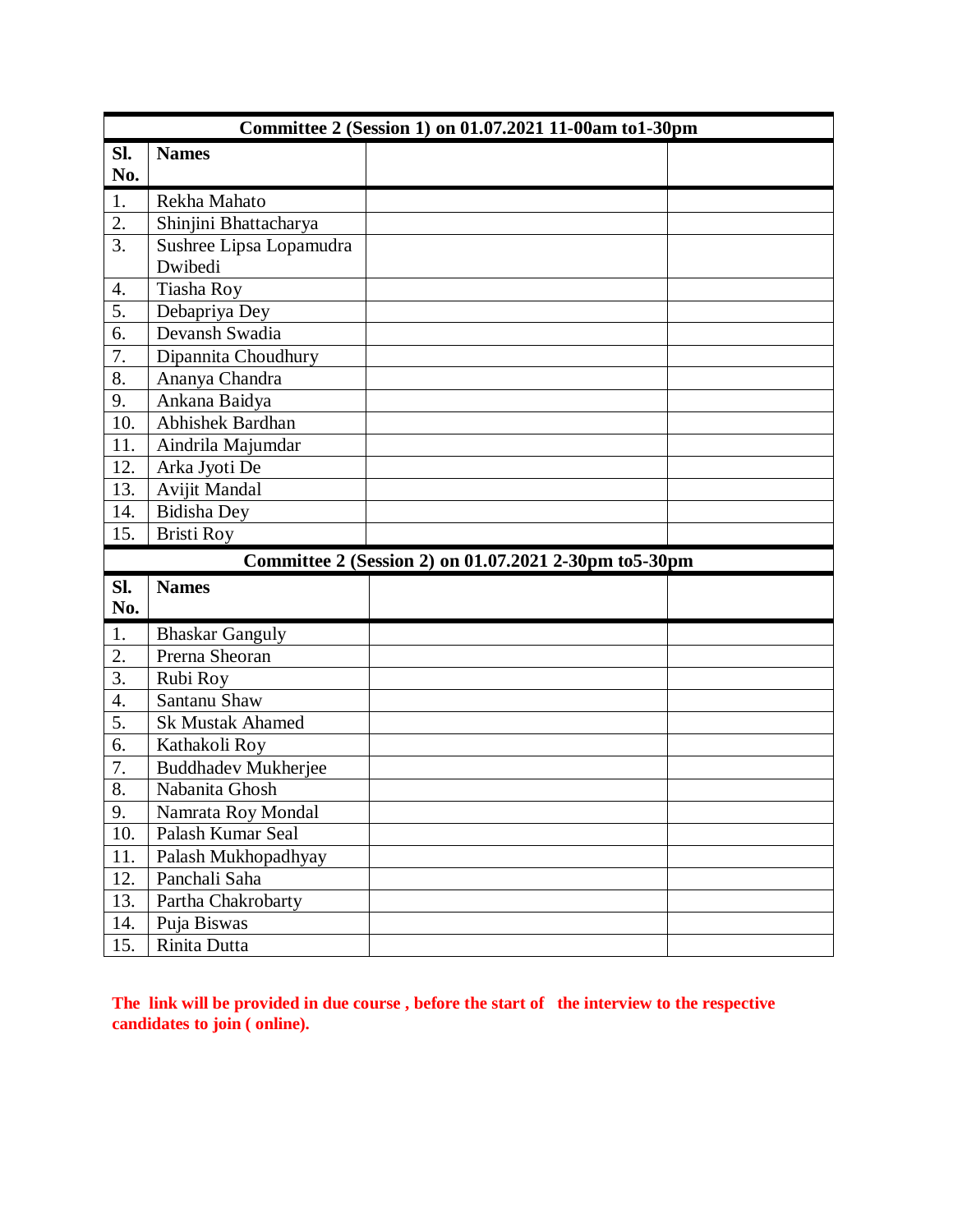| Committee 2 (Session 1) on 01.07.2021 11-00am to1-30pm |                            |                                                        |  |  |  |
|--------------------------------------------------------|----------------------------|--------------------------------------------------------|--|--|--|
| SI.                                                    | <b>Names</b>               |                                                        |  |  |  |
| No.                                                    |                            |                                                        |  |  |  |
| 1.                                                     | Rekha Mahato               |                                                        |  |  |  |
| $\overline{2}$ .                                       | Shinjini Bhattacharya      |                                                        |  |  |  |
| $\overline{3}$ .                                       | Sushree Lipsa Lopamudra    |                                                        |  |  |  |
|                                                        | Dwibedi                    |                                                        |  |  |  |
| 4.                                                     | Tiasha Roy                 |                                                        |  |  |  |
| 5.                                                     | Debapriya Dey              |                                                        |  |  |  |
| 6.                                                     | Devansh Swadia             |                                                        |  |  |  |
| 7.                                                     | Dipannita Choudhury        |                                                        |  |  |  |
| 8.                                                     | Ananya Chandra             |                                                        |  |  |  |
| 9.                                                     | Ankana Baidya              |                                                        |  |  |  |
| 10.                                                    | Abhishek Bardhan           |                                                        |  |  |  |
| 11.                                                    | Aindrila Majumdar          |                                                        |  |  |  |
| 12.                                                    | Arka Jyoti De              |                                                        |  |  |  |
| 13.                                                    | Avijit Mandal              |                                                        |  |  |  |
| 14.                                                    | <b>Bidisha</b> Dey         |                                                        |  |  |  |
| 15.                                                    | <b>Bristi Roy</b>          |                                                        |  |  |  |
|                                                        |                            | Committee 2 (Session 2) on 01.07.2021 2-30pm to 5-30pm |  |  |  |
| Sl.                                                    | <b>Names</b>               |                                                        |  |  |  |
| No.                                                    |                            |                                                        |  |  |  |
| 1.                                                     | <b>Bhaskar Ganguly</b>     |                                                        |  |  |  |
| 2.                                                     | Prerna Sheoran             |                                                        |  |  |  |
| 3.                                                     | Rubi Roy                   |                                                        |  |  |  |
| 4.                                                     | Santanu Shaw               |                                                        |  |  |  |
| 5.                                                     | <b>Sk Mustak Ahamed</b>    |                                                        |  |  |  |
| 6.                                                     | Kathakoli Roy              |                                                        |  |  |  |
| $\overline{7}$ .                                       | <b>Buddhadev Mukherjee</b> |                                                        |  |  |  |
| 8.                                                     | Nabanita Ghosh             |                                                        |  |  |  |
| 9.                                                     | Namrata Roy Mondal         |                                                        |  |  |  |
| 10.                                                    | Palash Kumar Seal          |                                                        |  |  |  |
| 11.                                                    | Palash Mukhopadhyay        |                                                        |  |  |  |
| 12.                                                    | Panchali Saha              |                                                        |  |  |  |
| 13.                                                    | Partha Chakrobarty         |                                                        |  |  |  |
| 14.                                                    | Puja Biswas                |                                                        |  |  |  |
| 15.                                                    | Rinita Dutta               |                                                        |  |  |  |